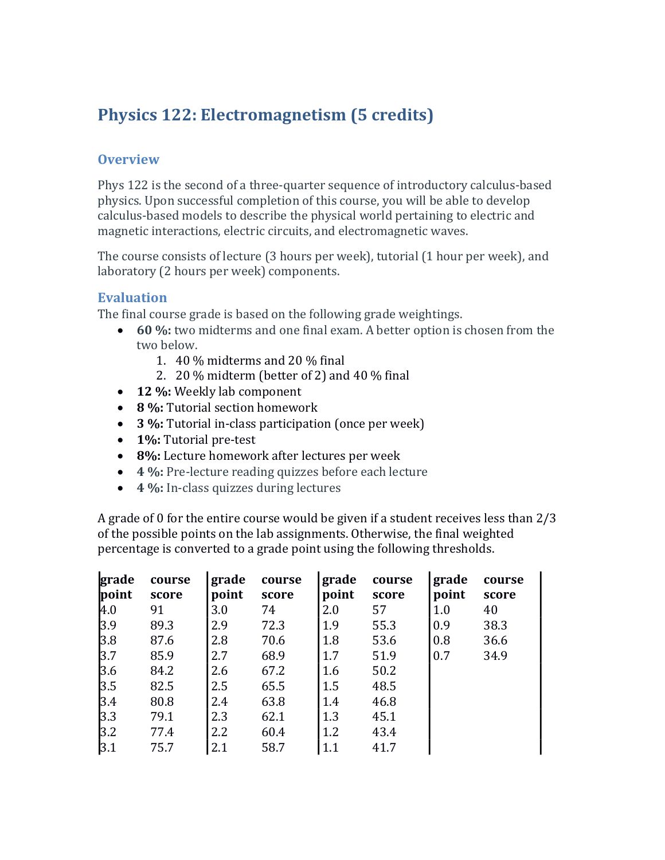# Physics 122: Electromagnetism (5 credits)

### **Overview**

Phys 122 is the second of a three-quarter sequence of introductory calculus-based physics. Upon successful completion of this course, you will be able to develop calculus-based models to describe the physical world pertaining to electric and magnetic interactions, electric circuits, and electromagnetic waves.

The course consists of lecture (3 hours per week), tutorial (1 hour per week), and laboratory (2 hours per week) components.

#### Evaluation

The final course grade is based on the following grade weightings.

- 60 %: two midterms and one final exam. A better option is chosen from the two below.
	- 1. 40 % midterms and 20 % final
	- 2. 20 % midterm (better of 2) and 40 % final
- 12 %: Weekly lab component
- 8 %: Tutorial section homework
- 3 %: Tutorial in-class participation (once per week)
- 1%: Tutorial pre-test
- 8%: Lecture homework after lectures per week
- 4 %: Pre-lecture reading quizzes before each lecture
- 4 %: In-class quizzes during lectures

A grade of 0 for the entire course would be given if a student receives less than 2/3 of the possible points on the lab assignments. Otherwise, the final weighted percentage is converted to a grade point using the following thresholds.

| grade<br>point | course<br>score | grade<br>point | course<br>score | grade<br>point | course<br>score | grade<br>point | course<br>score |
|----------------|-----------------|----------------|-----------------|----------------|-----------------|----------------|-----------------|
| 4.0            | 91              | 3.0            | 74              | 2.0            | 57              | 1.0            | 40              |
| 3.9            | 89.3            | 2.9            | 72.3            | 1.9            | 55.3            | 0.9            | 38.3            |
| 3.8            | 87.6            | 2.8            | 70.6            | 1.8            | 53.6            | 0.8            | 36.6            |
| 3.7            | 85.9            | 2.7            | 68.9            | 1.7            | 51.9            | 0.7            | 34.9            |
| 3.6            | 84.2            | 2.6            | 67.2            | 1.6            | 50.2            |                |                 |
| 3.5            | 82.5            | 2.5            | 65.5            | 1.5            | 48.5            |                |                 |
| 3.4            | 80.8            | 2.4            | 63.8            | 1.4            | 46.8            |                |                 |
| 3.3            | 79.1            | 2.3            | 62.1            | 1.3            | 45.1            |                |                 |
| 3.2            | 77.4            | 2.2            | 60.4            | 1.2            | 43.4            |                |                 |
| 3.1            | 75.7            | 2.1            | 58.7            | 1.1            | 41.7            |                |                 |